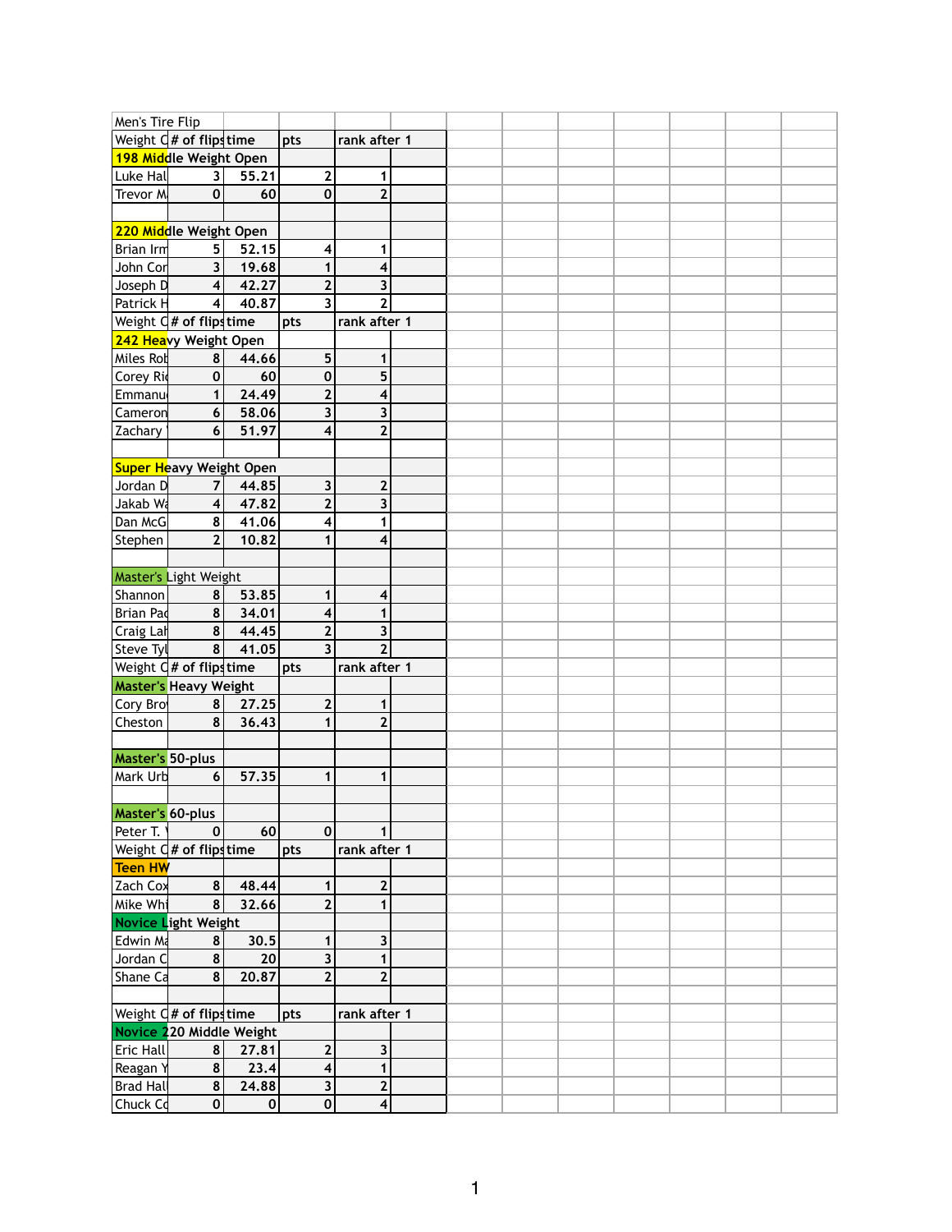| Men's Tire Flip                                                                                                                         |                                     |                                |                         |                         |  |  |  |  |
|-----------------------------------------------------------------------------------------------------------------------------------------|-------------------------------------|--------------------------------|-------------------------|-------------------------|--|--|--|--|
|                                                                                                                                         | Weight $Q#$ of flips time           |                                | pts                     | rank after 1            |  |  |  |  |
|                                                                                                                                         | 198 Middle Weight Open              |                                |                         |                         |  |  |  |  |
| Luke Hal                                                                                                                                | 3                                   | 55.21                          | $\mathbf{2}$            | 1                       |  |  |  |  |
| Trevor M                                                                                                                                | $\mathbf 0$                         | 60                             | $\mathbf 0$             | $\overline{2}$          |  |  |  |  |
|                                                                                                                                         |                                     |                                |                         |                         |  |  |  |  |
| 220 Middle Weight Open                                                                                                                  |                                     |                                |                         |                         |  |  |  |  |
| <b>Brian Irm</b>                                                                                                                        | 5.                                  | 52.15                          | $\overline{\mathbf{4}}$ | 1                       |  |  |  |  |
| John Cor                                                                                                                                | 3                                   | 19.68                          | $\mathbf{1}$            | 4                       |  |  |  |  |
| Joseph D                                                                                                                                | $\overline{\mathbf{4}}$             | 42.27                          | $\mathbf{2}$            | 3                       |  |  |  |  |
|                                                                                                                                         |                                     | 40.87                          | $\overline{\mathbf{3}}$ | $\overline{2}$          |  |  |  |  |
| Patrick H                                                                                                                               | 4                                   |                                |                         |                         |  |  |  |  |
|                                                                                                                                         | Weight $\mathsf{d}$ # of flips time |                                | pts                     | rank after 1            |  |  |  |  |
|                                                                                                                                         | 242 Heavy Weight Open               |                                |                         |                         |  |  |  |  |
| Miles Rot                                                                                                                               | 8                                   | 44.66                          | 5                       | 1                       |  |  |  |  |
| Corey Ri                                                                                                                                | $\mathbf 0$                         | 60                             | $\mathbf 0$             | 5                       |  |  |  |  |
| Emmanu                                                                                                                                  | 1                                   | 24.49                          | $\overline{2}$          | 4                       |  |  |  |  |
| <b>Cameron</b>                                                                                                                          | $6\phantom{1}$                      | 58.06                          | $\overline{\mathbf{3}}$ | $\overline{\mathbf{3}}$ |  |  |  |  |
| Zachary                                                                                                                                 | 6                                   | 51.97                          | 4                       | $\overline{2}$          |  |  |  |  |
|                                                                                                                                         |                                     |                                |                         |                         |  |  |  |  |
|                                                                                                                                         |                                     | <b>Super Heavy Weight Open</b> |                         |                         |  |  |  |  |
| Jordan D                                                                                                                                | 7                                   | 44.85                          | 3                       | $\overline{2}$          |  |  |  |  |
| Jakab Wa                                                                                                                                | $\boldsymbol{4}$                    | 47.82                          | $\overline{2}$          | 3                       |  |  |  |  |
| Dan McG                                                                                                                                 | 8                                   | 41.06                          | 4                       | 1                       |  |  |  |  |
| Stephen                                                                                                                                 | $\overline{2}$                      | 10.82                          | $\mathbf{1}$            | 4                       |  |  |  |  |
|                                                                                                                                         |                                     |                                |                         |                         |  |  |  |  |
| Master's Light Weight                                                                                                                   |                                     |                                |                         |                         |  |  |  |  |
|                                                                                                                                         | 8                                   | 53.85                          | 1                       | $\overline{\mathbf{4}}$ |  |  |  |  |
| Shannon                                                                                                                                 |                                     |                                |                         |                         |  |  |  |  |
| Brian Pad                                                                                                                               | 8                                   | 34.01                          | 4                       | 1                       |  |  |  |  |
| Craig Lah                                                                                                                               | 8                                   | 44.45                          | $\mathbf{2}$            | 3                       |  |  |  |  |
| Steve Tyl $\begin{array}{ l l } \hline \text{Steve TyI} & \text{8} & \text{41.} \\ \hline \text{Weight G# of flips time} & \end{array}$ | $\frac{8}{ }$                       | 41.05                          | $\overline{3}$          | $\overline{2}$          |  |  |  |  |
|                                                                                                                                         |                                     |                                | pts                     | rank after 1            |  |  |  |  |
| <b>Master's Heavy Weight</b>                                                                                                            |                                     |                                |                         |                         |  |  |  |  |
| Cory Bro                                                                                                                                | 8                                   | 27.25                          | $\mathbf{2}$            | $\mathbf{1}$            |  |  |  |  |
| Cheston                                                                                                                                 | 8                                   | 36.43                          | $\mathbf{1}$            | 2 <sup>1</sup>          |  |  |  |  |
|                                                                                                                                         |                                     |                                |                         |                         |  |  |  |  |
| <b>Master's 50-plus</b>                                                                                                                 |                                     |                                |                         |                         |  |  |  |  |
| Mark Urb                                                                                                                                | $6\phantom{1}6$                     | 57.35                          | $\mathbf{1}$            | $\mathbf{1}$            |  |  |  |  |
|                                                                                                                                         |                                     |                                |                         |                         |  |  |  |  |
| <b>Master's 60-plus</b>                                                                                                                 |                                     |                                |                         |                         |  |  |  |  |
| Peter T.                                                                                                                                | $\mathbf 0$                         | 60                             | $\mathbf 0$             | 1                       |  |  |  |  |
|                                                                                                                                         | Weight C# of flipstime              |                                | pts                     | rank after 1            |  |  |  |  |
| Teen HW                                                                                                                                 |                                     |                                |                         |                         |  |  |  |  |
| Zach Cox                                                                                                                                | 8                                   | 48.44                          | 1                       | $\mathbf 2$             |  |  |  |  |
| Mike Wh                                                                                                                                 | 8                                   | 32.66                          | $\mathbf{2}$            | 1                       |  |  |  |  |
|                                                                                                                                         | Novice Light Weight                 |                                |                         |                         |  |  |  |  |
| <b>Edwin Ma</b>                                                                                                                         | 8                                   | 30.5                           | 1                       | 3                       |  |  |  |  |
| Jordan C                                                                                                                                | 8                                   | 20                             | 3                       | 1                       |  |  |  |  |
|                                                                                                                                         | 8                                   |                                |                         |                         |  |  |  |  |
| Shane Ca                                                                                                                                |                                     | 20.87                          | $\mathbf{2}$            | $\mathbf{2}$            |  |  |  |  |
|                                                                                                                                         |                                     |                                |                         |                         |  |  |  |  |
| Weight $\mathsf{d}$ # of flips time                                                                                                     |                                     |                                | pts                     | rank after 1            |  |  |  |  |
|                                                                                                                                         |                                     | Novice 220 Middle Weight       |                         |                         |  |  |  |  |
| <b>Eric Hall</b>                                                                                                                        | 8                                   | 27.81                          | $\mathbf{2}$            | $\overline{\mathbf{3}}$ |  |  |  |  |
| Reagan Y                                                                                                                                | 8                                   | 23.4                           | 4                       | 1                       |  |  |  |  |
| Brad Hal                                                                                                                                | 8                                   | 24.88                          | $\mathbf{3}$            | $\mathbf{2}$            |  |  |  |  |
| Chuck Cd                                                                                                                                | $\pmb{0}$                           | $\pmb{0}$                      | $\pmb{0}$               | $\vert 4 \vert$         |  |  |  |  |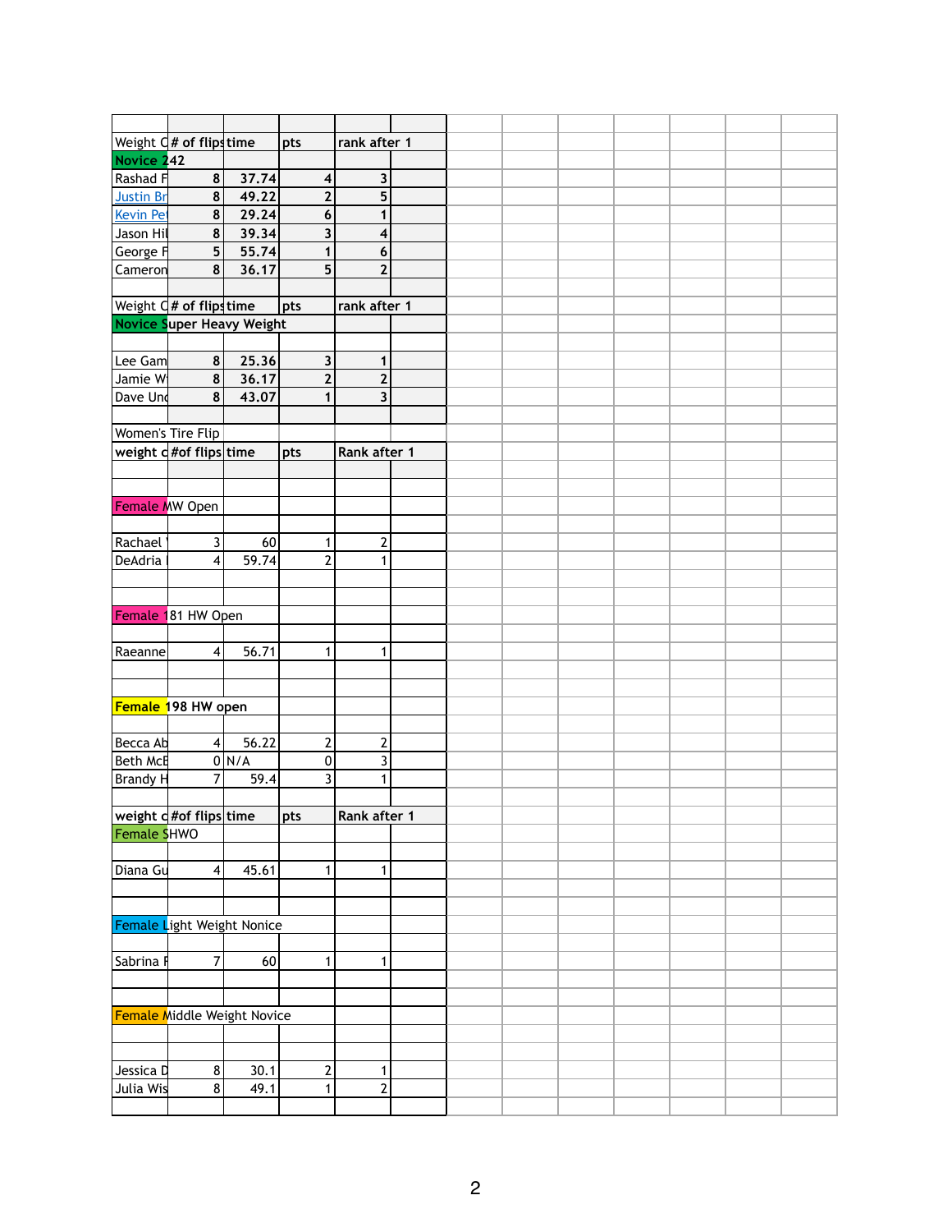|                       | Weight $Q#$ of flips time          |       | pts                     | rank after 1            |  |  |  |  |
|-----------------------|------------------------------------|-------|-------------------------|-------------------------|--|--|--|--|
| Novice 242            |                                    |       |                         |                         |  |  |  |  |
| Rashad F              | 8                                  | 37.74 | $\overline{\mathbf{4}}$ | 3                       |  |  |  |  |
| <b>Justin Br</b>      | 8                                  |       |                         | 5                       |  |  |  |  |
|                       |                                    | 49.22 | $\mathbf{2}$            |                         |  |  |  |  |
| Kevin Pet             | $\pmb{8}$                          | 29.24 | $\boldsymbol{6}$        | 1                       |  |  |  |  |
| Jason Hil             | 8                                  | 39.34 | 3                       | 4                       |  |  |  |  |
| George F              | 5                                  | 55.74 | $\mathbf{1}$            | 6                       |  |  |  |  |
| Cameron               | 8                                  | 36.17 | 5                       | $\overline{\mathbf{2}}$ |  |  |  |  |
|                       |                                    |       |                         |                         |  |  |  |  |
|                       | Weight $Q#$ of flips time          |       | pts                     | rank after 1            |  |  |  |  |
|                       | Novice Super Heavy Weight          |       |                         |                         |  |  |  |  |
|                       |                                    |       |                         |                         |  |  |  |  |
| Lee Gam               | 8                                  | 25.36 | $\mathbf{3}$            | 1                       |  |  |  |  |
| Jamie W               | 8                                  | 36.17 | $\mathbf{2}$            | $\overline{2}$          |  |  |  |  |
| Dave Und              | 8                                  | 43.07 | $\mathbf{1}$            | $\overline{\mathbf{3}}$ |  |  |  |  |
|                       |                                    |       |                         |                         |  |  |  |  |
|                       | Women's Tire Flip                  |       |                         |                         |  |  |  |  |
|                       | weight d#of flips time             |       |                         | Rank after 1            |  |  |  |  |
|                       |                                    |       | pts                     |                         |  |  |  |  |
|                       |                                    |       |                         |                         |  |  |  |  |
|                       |                                    |       |                         |                         |  |  |  |  |
| <b>Female MW Open</b> |                                    |       |                         |                         |  |  |  |  |
|                       |                                    |       |                         |                         |  |  |  |  |
| Rachael               | 3                                  | 60    | 1                       | $\overline{\mathbf{c}}$ |  |  |  |  |
| DeAdria               | $\overline{\mathbf{4}}$            | 59.74 | $\overline{2}$          | 1                       |  |  |  |  |
|                       |                                    |       |                         |                         |  |  |  |  |
|                       |                                    |       |                         |                         |  |  |  |  |
|                       | Female 181 HW Open                 |       |                         |                         |  |  |  |  |
|                       |                                    |       |                         |                         |  |  |  |  |
| Raeanne               | 4 <sup>1</sup>                     | 56.71 | 1                       | 1                       |  |  |  |  |
|                       |                                    |       |                         |                         |  |  |  |  |
|                       |                                    |       |                         |                         |  |  |  |  |
|                       |                                    |       |                         |                         |  |  |  |  |
|                       | Female 198 HW open                 |       |                         |                         |  |  |  |  |
|                       |                                    |       |                         |                         |  |  |  |  |
| Becca Ab              | $\overline{\mathbf{4}}$            | 56.22 | $\mathbf{2}$            | $\overline{\mathbf{c}}$ |  |  |  |  |
| <b>Beth McE</b>       |                                    | 0 N/A | $\pmb{0}$               | $\overline{\mathbf{3}}$ |  |  |  |  |
| <b>Brandy H</b>       | 7                                  | 59.4  | $\overline{3}$          | 1                       |  |  |  |  |
|                       |                                    |       |                         |                         |  |  |  |  |
|                       | weight c #of flips time            |       | pts                     | Rank after 1            |  |  |  |  |
| Female SHWO           |                                    |       |                         |                         |  |  |  |  |
|                       |                                    |       |                         |                         |  |  |  |  |
| Diana Gu              | $\overline{\mathbf{4}}$            | 45.61 | 1                       | $\mathbf{1}$            |  |  |  |  |
|                       |                                    |       |                         |                         |  |  |  |  |
|                       |                                    |       |                         |                         |  |  |  |  |
|                       | Female Light Weight Nonice         |       |                         |                         |  |  |  |  |
|                       |                                    |       |                         |                         |  |  |  |  |
|                       |                                    |       |                         |                         |  |  |  |  |
| Sabrina               | 7                                  | 60    | 1                       | 1                       |  |  |  |  |
|                       |                                    |       |                         |                         |  |  |  |  |
|                       |                                    |       |                         |                         |  |  |  |  |
|                       | <b>Female Middle Weight Novice</b> |       |                         |                         |  |  |  |  |
|                       |                                    |       |                         |                         |  |  |  |  |
|                       |                                    |       |                         |                         |  |  |  |  |
| Jessica D             | $\bf 8$                            | 30.1  | 2                       | 1                       |  |  |  |  |
| Julia Wis             | 8                                  | 49.1  | 1                       | $\overline{\mathbf{c}}$ |  |  |  |  |
|                       |                                    |       |                         |                         |  |  |  |  |
|                       |                                    |       |                         |                         |  |  |  |  |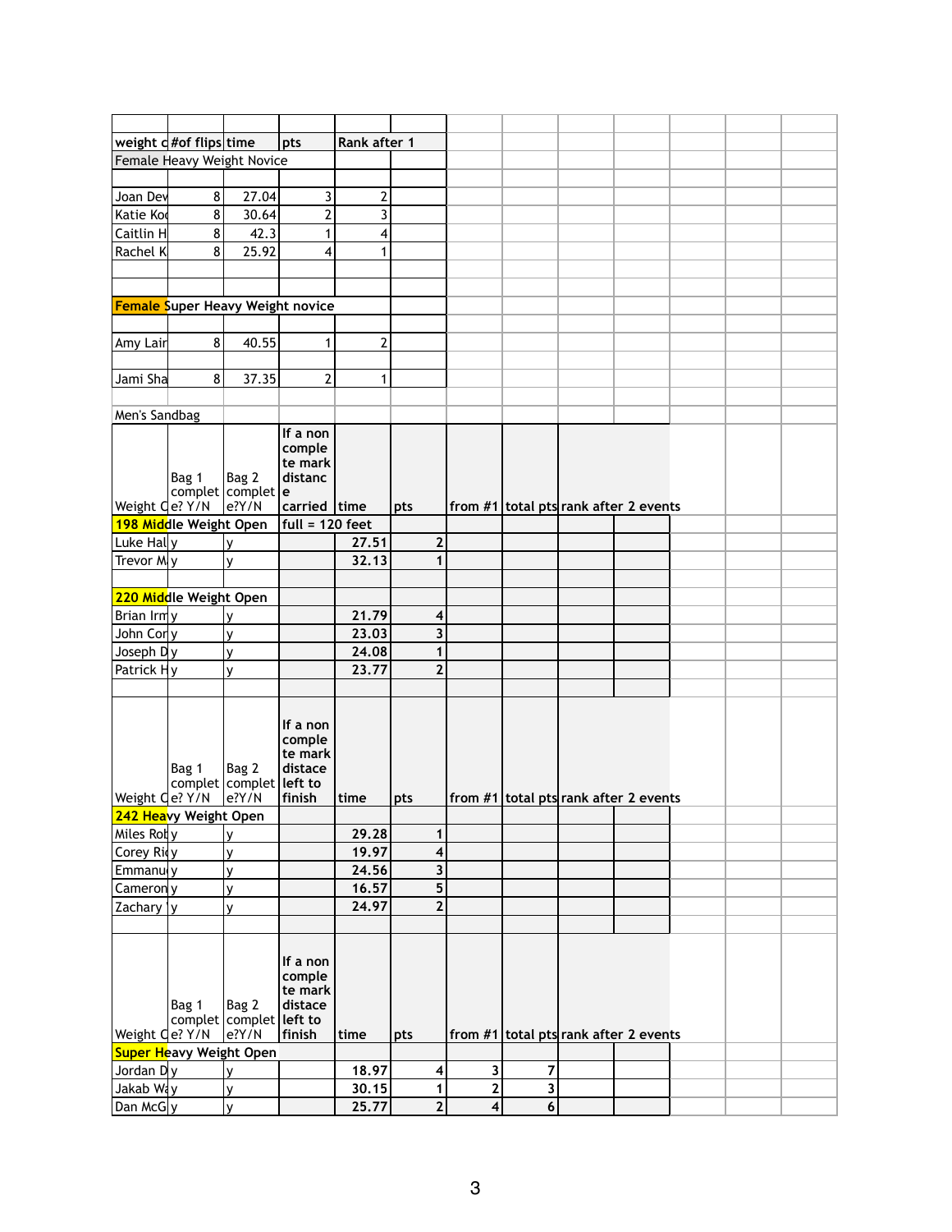|                              | weight $d \#$ of flips time             |                                                 | pts                                                | Rank after 1   |                |                  |                |                                         |  |  |
|------------------------------|-----------------------------------------|-------------------------------------------------|----------------------------------------------------|----------------|----------------|------------------|----------------|-----------------------------------------|--|--|
|                              | Female Heavy Weight Novice              |                                                 |                                                    |                |                |                  |                |                                         |  |  |
|                              |                                         |                                                 |                                                    |                |                |                  |                |                                         |  |  |
| Joan Dev                     | 8                                       | 27.04                                           | 3                                                  | $\overline{2}$ |                |                  |                |                                         |  |  |
| Katie Kod                    | 8                                       | 30.64                                           | $\overline{\mathbf{c}}$                            | 3              |                |                  |                |                                         |  |  |
| Caitlin H                    | 8                                       | 42.3                                            | $\mathbf{1}$                                       | 4              |                |                  |                |                                         |  |  |
| Rachel K                     | 8                                       | 25.92                                           | $\overline{\mathbf{4}}$                            | 1              |                |                  |                |                                         |  |  |
|                              |                                         |                                                 |                                                    |                |                |                  |                |                                         |  |  |
|                              |                                         |                                                 |                                                    |                |                |                  |                |                                         |  |  |
|                              | <b>Female Super Heavy Weight novice</b> |                                                 |                                                    |                |                |                  |                |                                         |  |  |
|                              |                                         |                                                 |                                                    |                |                |                  |                |                                         |  |  |
| Amy Lair                     | 8 <sup>1</sup>                          | 40.55                                           | $\mathbf{1}$                                       | $\overline{2}$ |                |                  |                |                                         |  |  |
|                              |                                         |                                                 |                                                    |                |                |                  |                |                                         |  |  |
| Jami Sha                     | 8 <sup>1</sup>                          | 37.35                                           | $\overline{2}$                                     | 1              |                |                  |                |                                         |  |  |
|                              |                                         |                                                 |                                                    |                |                |                  |                |                                         |  |  |
| Men's Sandbag                |                                         |                                                 |                                                    |                |                |                  |                |                                         |  |  |
|                              |                                         |                                                 | If a non                                           |                |                |                  |                |                                         |  |  |
|                              |                                         |                                                 | comple                                             |                |                |                  |                |                                         |  |  |
|                              |                                         |                                                 | te mark                                            |                |                |                  |                |                                         |  |  |
|                              | Bag 1                                   | Bag 2                                           | distanc                                            |                |                |                  |                |                                         |  |  |
| Weight <i>Qe? Y/N</i>        |                                         | complet complet e<br>$e$ ?Y/N                   | carried time                                       |                | pts            |                  |                | from $#1$ total pts rank after 2 events |  |  |
|                              | 198 Middle Weight Open                  |                                                 | full = 120 feet                                    |                |                |                  |                |                                         |  |  |
| Luke Hally                   |                                         | v                                               |                                                    | 27.51          | $\mathbf{2}$   |                  |                |                                         |  |  |
| Trevor My                    |                                         | ٧                                               |                                                    | 32.13          |                |                  |                |                                         |  |  |
|                              |                                         |                                                 |                                                    |                |                |                  |                |                                         |  |  |
|                              | 220 Middle Weight Open                  |                                                 |                                                    |                |                |                  |                |                                         |  |  |
| Brian $\text{Im} \mathsf{v}$ |                                         | v                                               |                                                    | 21.79          | 4              |                  |                |                                         |  |  |
| John Corly                   |                                         |                                                 |                                                    | 23.03          | 3              |                  |                |                                         |  |  |
| Joseph Dlv                   |                                         | y<br>$\mathsf{v}$                               |                                                    | 24.08          | 1              |                  |                |                                         |  |  |
| Patrick Hy                   |                                         | ٧                                               |                                                    | 23.77          | $\mathbf{2}$   |                  |                |                                         |  |  |
|                              |                                         |                                                 |                                                    |                |                |                  |                |                                         |  |  |
|                              | Bag 1                                   | Bag 2<br>complet   complet   left to            | If a non<br>comple<br>te mark<br>distace           |                |                |                  |                |                                         |  |  |
| Weight Qe? Y/N               |                                         | e?Y/N                                           | finish                                             | time           | pts            |                  |                | from $#1$ total pts rank after 2 events |  |  |
|                              | 242 Heavy Weight Open                   |                                                 |                                                    |                |                |                  |                |                                         |  |  |
| Miles Rol y                  |                                         | y                                               |                                                    | 29.28          | 1              |                  |                |                                         |  |  |
| Corey Rivy                   |                                         | y                                               |                                                    | 19.97          | 4              |                  |                |                                         |  |  |
| Emmanuly                     |                                         | y                                               |                                                    | 24.56          | 3              |                  |                |                                         |  |  |
| Camerony                     |                                         | y                                               |                                                    | 16.57          | 5              |                  |                |                                         |  |  |
| Zachary   y                  |                                         | ٧                                               |                                                    | 24.97          | $\overline{2}$ |                  |                |                                         |  |  |
|                              |                                         |                                                 |                                                    |                |                |                  |                |                                         |  |  |
| Weight <i>Qe?</i> Y/N        | Bag 1                                   | Bag 2<br>complet complet left to<br>$e$ ? $Y/N$ | If a non<br>comple<br>te mark<br>distace<br>finish | time           | pts            |                  |                | from $#1$ total pts rank after 2 events |  |  |
|                              | <b>Super Heavy Weight Open</b>          |                                                 |                                                    |                |                |                  |                |                                         |  |  |
| Jordan Dy                    |                                         | У                                               |                                                    | 18.97          | 4              | 3                | 7              |                                         |  |  |
| Jakab Way                    |                                         | y                                               |                                                    | 30.15          | 1              | $\mathbf 2$      | 3              |                                         |  |  |
| Dan McG y                    |                                         | V                                               |                                                    | 25.77          | $\overline{2}$ | $\boldsymbol{4}$ | $6\phantom{1}$ |                                         |  |  |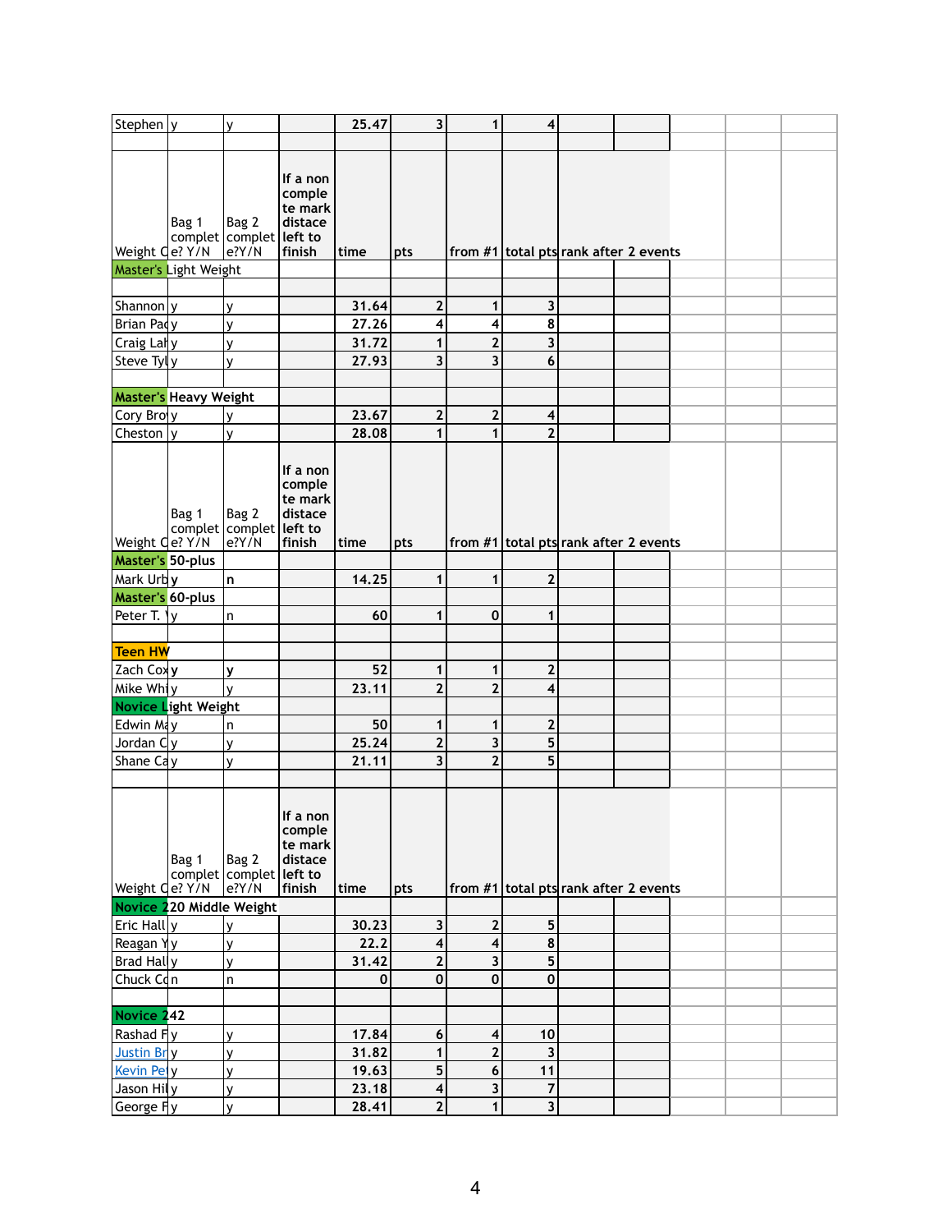| Stephen y                    |       | ٧                                               |                                                    | 25.47       | $\overline{\mathbf{3}}$ | $\mathbf{1}$            | $\overline{\mathbf{4}}$                 |  |  |  |
|------------------------------|-------|-------------------------------------------------|----------------------------------------------------|-------------|-------------------------|-------------------------|-----------------------------------------|--|--|--|
|                              |       |                                                 |                                                    |             |                         |                         |                                         |  |  |  |
|                              | Bag 1 | Bag 2<br>complet complet left to                | If a non<br>comple<br>te mark<br>distace           |             |                         |                         |                                         |  |  |  |
| Weight Qe? Y/N               |       | $e$ ? $Y/N$                                     | finish                                             | time        | pts                     |                         | from $#1$ total pts rank after 2 events |  |  |  |
| Master's Light Weight        |       |                                                 |                                                    |             |                         |                         |                                         |  |  |  |
|                              |       |                                                 |                                                    |             |                         |                         |                                         |  |  |  |
|                              |       |                                                 |                                                    |             |                         |                         |                                         |  |  |  |
| Shannon y                    |       | ٧                                               |                                                    | 31.64       | $\mathbf{2}$            | 1                       | 3                                       |  |  |  |
| Brian Pady                   |       | ۷                                               |                                                    | 27.26       | 4                       | 4                       | 8                                       |  |  |  |
| Craig Laly                   |       | ٧                                               |                                                    | 31.72       | 1                       | $\overline{2}$          | 3                                       |  |  |  |
| Steve Tyly                   |       | v                                               |                                                    | 27.93       | 3                       | $\overline{\mathbf{3}}$ | 6                                       |  |  |  |
|                              |       |                                                 |                                                    |             |                         |                         |                                         |  |  |  |
| <b>Master's Heavy Weight</b> |       |                                                 |                                                    |             |                         |                         |                                         |  |  |  |
| Cory Broly                   |       | ٧                                               |                                                    | 23.67       | $\mathbf{2}$            | $\mathbf{2}$            | $\overline{\mathbf{4}}$                 |  |  |  |
| Cheston $ y $                |       | v                                               |                                                    | 28.08       | 1                       | $\mathbf{1}$            | $\overline{2}$                          |  |  |  |
|                              | Bag 1 | Bag 2<br>complet complet left to                | If a non<br>comple<br>te mark<br>distace           |             |                         |                         |                                         |  |  |  |
| Weight Qe? Y/N               |       | $e$ ? $Y/N$                                     | finish                                             | time        | pts                     |                         | from $#1$ total pts rank after 2 events |  |  |  |
| <b>Master's 50-plus</b>      |       |                                                 |                                                    |             |                         |                         |                                         |  |  |  |
| Mark Urby                    |       | n                                               |                                                    | 14.25       | 1                       | 1                       | $\overline{2}$                          |  |  |  |
| <b>Master's 60-plus</b>      |       |                                                 |                                                    |             |                         |                         |                                         |  |  |  |
| Peter T. Yy                  |       | $\sf n$                                         |                                                    | 60          | 1                       | $\mathbf 0$             | 1                                       |  |  |  |
|                              |       |                                                 |                                                    |             |                         |                         |                                         |  |  |  |
| Teen HW                      |       |                                                 |                                                    |             |                         |                         |                                         |  |  |  |
| Zach Coxy                    |       | V                                               |                                                    | 52          | $\mathbf{1}$            | 1                       | $\overline{2}$                          |  |  |  |
| Mike Whiy                    |       | v                                               |                                                    | 23.11       | $\overline{2}$          | $\overline{2}$          | $\overline{\mathbf{4}}$                 |  |  |  |
| Novice Light Weight          |       |                                                 |                                                    |             |                         |                         |                                         |  |  |  |
| Edwin May                    |       | n                                               |                                                    | 50          | 1                       | 1                       | $\overline{2}$                          |  |  |  |
| Jordan $C$ y                 |       | y                                               |                                                    | 25.24       | $\overline{2}$          | 3                       | 5                                       |  |  |  |
| Shane Cay                    |       | ٧                                               |                                                    | 21.11       | $\overline{\mathbf{3}}$ | $\overline{2}$          | 5                                       |  |  |  |
|                              |       |                                                 |                                                    |             |                         |                         |                                         |  |  |  |
| Weight <i>Qe? Y/N</i>        | Bag 1 | Bag 2<br>complet complet left to<br>$e$ ? $Y/N$ | If a non<br>comple<br>te mark<br>distace<br>finish | time        | pts                     |                         | from #1 total pts rank after 2 events   |  |  |  |
| Novice 220 Middle Weight     |       |                                                 |                                                    |             |                         |                         |                                         |  |  |  |
| Eric Hally                   |       | v                                               |                                                    | 30.23       | 3                       | $\mathbf{2}$            | 5                                       |  |  |  |
| Reagan Yy                    |       | ٧                                               |                                                    | 22.2        | $\overline{\mathbf{4}}$ | $\overline{\mathbf{4}}$ | $\pmb{8}$                               |  |  |  |
| Brad Hally                   |       | V                                               |                                                    | 31.42       | $\overline{2}$          | $\overline{\mathbf{3}}$ | 5                                       |  |  |  |
| Chuck $Cdn$                  |       | $\mathsf{n}$                                    |                                                    | $\mathbf 0$ | $\mathbf 0$             | $\mathbf 0$             | $\mathbf 0$                             |  |  |  |
|                              |       |                                                 |                                                    |             |                         |                         |                                         |  |  |  |
| Novice 242                   |       |                                                 |                                                    |             |                         |                         |                                         |  |  |  |
| Rashad Fy                    |       | ٧                                               |                                                    | 17.84       | 6                       | 4                       | 10                                      |  |  |  |
| Justin Bry                   |       | V                                               |                                                    | 31.82       | 1                       | $\overline{\mathbf{2}}$ | 3                                       |  |  |  |
| Kevin Pety                   |       | V                                               |                                                    | 19.63       | 5                       | 6                       | 11                                      |  |  |  |
| Jason Hily                   |       | ٧                                               |                                                    | 23.18       | $\overline{\mathbf{4}}$ | 3                       | $\overline{7}$                          |  |  |  |
| George Fly                   |       | ٧                                               |                                                    | 28.41       | $\overline{2}$          | $\mathbf{1}$            | 3                                       |  |  |  |
|                              |       |                                                 |                                                    |             |                         |                         |                                         |  |  |  |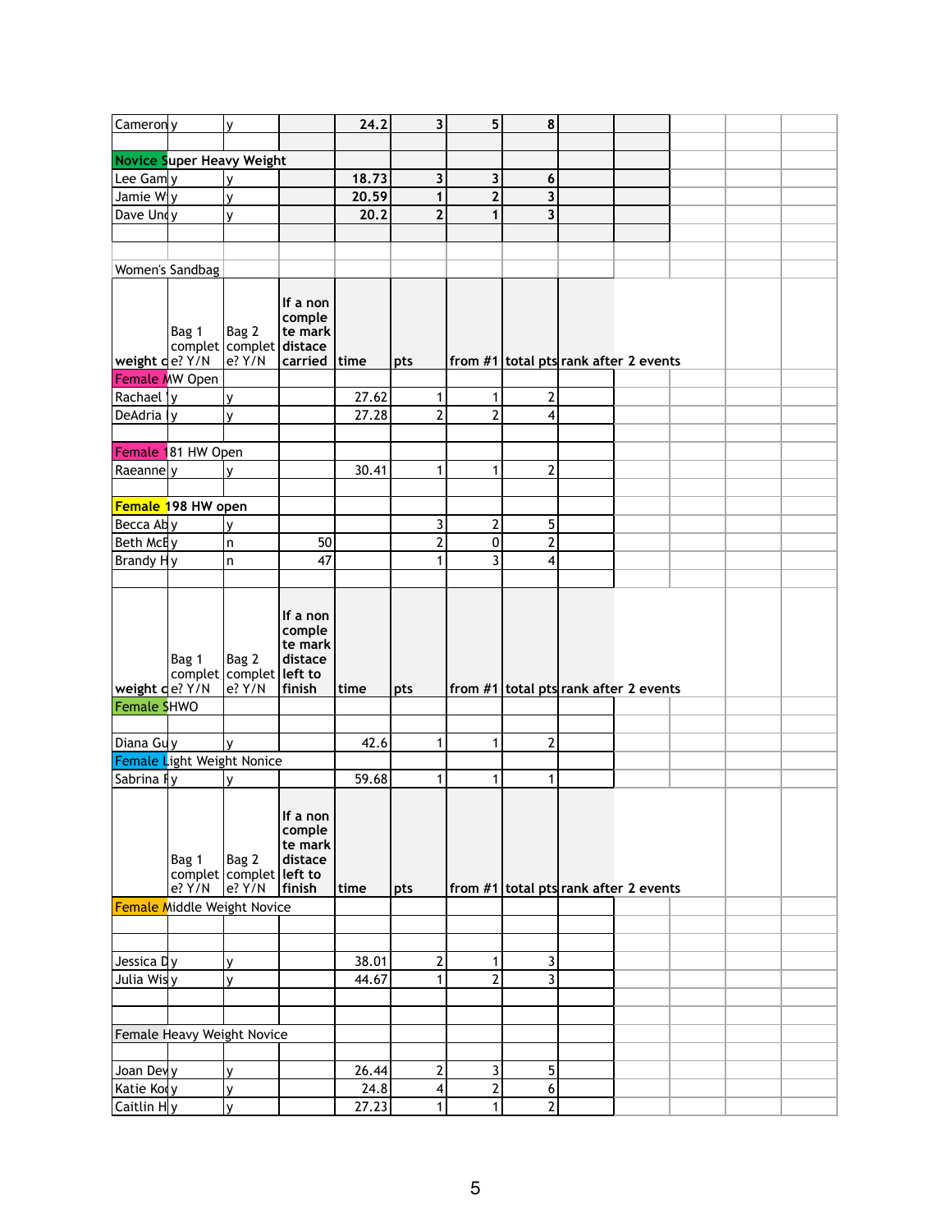| Cameron y           |                                | v                                                |                                                    | 24.2  | $\overline{\mathbf{3}}$ | 5                                     | 8              |  |  |  |
|---------------------|--------------------------------|--------------------------------------------------|----------------------------------------------------|-------|-------------------------|---------------------------------------|----------------|--|--|--|
|                     |                                |                                                  |                                                    |       |                         |                                       |                |  |  |  |
|                     |                                | <b>Novice Super Heavy Weight</b>                 |                                                    |       |                         |                                       |                |  |  |  |
| Lee Gam y           |                                |                                                  |                                                    | 18.73 | 3                       | 3                                     | 6              |  |  |  |
| Jamie W $ y $       |                                | v                                                |                                                    | 20.59 | 1                       | $\overline{2}$                        | 3              |  |  |  |
| Dave Undy           |                                | v                                                |                                                    | 20.2  | $\overline{2}$          | 1                                     | 3              |  |  |  |
|                     |                                |                                                  |                                                    |       |                         |                                       |                |  |  |  |
|                     |                                |                                                  |                                                    |       |                         |                                       |                |  |  |  |
|                     | Women's Sandbag                |                                                  |                                                    |       |                         |                                       |                |  |  |  |
|                     | Bag 1<br>$ $ weight $ e?$ Y/N  | Bag 2<br>complet   complet   distace<br>e? Y/N   | If a non<br>comple<br>te mark<br>carried $ time$   |       | pts                     | from #1 total pts rank after 2 events |                |  |  |  |
|                     | Female MW Open                 |                                                  |                                                    |       |                         |                                       |                |  |  |  |
| Rachael  y          |                                | v                                                |                                                    | 27.62 | 1                       | 1                                     | 2              |  |  |  |
| DeAdria   y         |                                | v                                                |                                                    | 27.28 | $\overline{2}$          | $\overline{2}$                        | 4              |  |  |  |
|                     |                                |                                                  |                                                    |       |                         |                                       |                |  |  |  |
|                     | Female 181 HW Open             |                                                  |                                                    |       |                         |                                       |                |  |  |  |
| Raeanne y           |                                | v                                                |                                                    | 30.41 | 1                       | 1                                     | $\overline{2}$ |  |  |  |
|                     |                                |                                                  |                                                    |       |                         |                                       |                |  |  |  |
|                     | <b>Female 198 HW open</b>      |                                                  |                                                    |       |                         |                                       |                |  |  |  |
| Becca Aby           |                                | v                                                |                                                    |       | 3                       | $\overline{2}$                        | 5              |  |  |  |
| Beth McEy           |                                | n                                                | 50                                                 |       | 2                       | 0                                     | $\overline{2}$ |  |  |  |
| Brandy Hy           |                                | n                                                | 47                                                 |       | 1                       | 3                                     | 4              |  |  |  |
|                     | Bag 1                          | Bag 2<br>complet complet left to                 | If a non<br>comple<br>te mark<br>distace           |       |                         |                                       |                |  |  |  |
|                     | $\sqrt{\text{weight}}$ de? Y/N | e? Y/N                                           | finish                                             | time  | pts                     | from #1 total pts rank after 2 events |                |  |  |  |
| Female SHWO         |                                |                                                  |                                                    |       |                         |                                       |                |  |  |  |
|                     |                                |                                                  |                                                    |       |                         |                                       |                |  |  |  |
| Diana Guy           |                                | $\mathsf{v}$                                     |                                                    | 42.6  | 1                       | 1                                     | $\overline{2}$ |  |  |  |
|                     |                                | Female Light Weight Nonice                       |                                                    |       |                         |                                       |                |  |  |  |
| Sabrina Fy          |                                |                                                  |                                                    | 59.68 | 1                       | 1                                     | $\mathbf{1}$   |  |  |  |
|                     | Bag 1<br>$e?$ Y/N              | Bag 2<br>complet   complet   left to<br>$e?$ Y/N | If a non<br>comple<br>te mark<br>distace<br>finish | time  | pts                     | from #1 total pts rank after 2 events |                |  |  |  |
|                     |                                | <b>Female Middle Weight Novice</b>               |                                                    |       |                         |                                       |                |  |  |  |
|                     |                                |                                                  |                                                    |       |                         |                                       |                |  |  |  |
|                     |                                |                                                  |                                                    |       |                         |                                       |                |  |  |  |
| Jessica ¤ y         |                                | V                                                |                                                    | 38.01 | 2                       | 1                                     | 3              |  |  |  |
| Julia Wis y         |                                | V                                                |                                                    | 44.67 | 1                       | $\overline{2}$                        | 3              |  |  |  |
|                     |                                |                                                  |                                                    |       |                         |                                       |                |  |  |  |
|                     |                                |                                                  |                                                    |       |                         |                                       |                |  |  |  |
|                     |                                | Female Heavy Weight Novice                       |                                                    |       |                         |                                       |                |  |  |  |
|                     |                                |                                                  |                                                    |       |                         |                                       |                |  |  |  |
| Joan Devy           |                                | v                                                |                                                    | 26.44 | $\overline{2}$          | 3                                     | 5              |  |  |  |
| Katie Koły          |                                | ٧                                                |                                                    | 24.8  | 4                       | $\overline{c}$                        | 6              |  |  |  |
| $ $ Caitlin H $ y $ |                                |                                                  |                                                    |       |                         |                                       |                |  |  |  |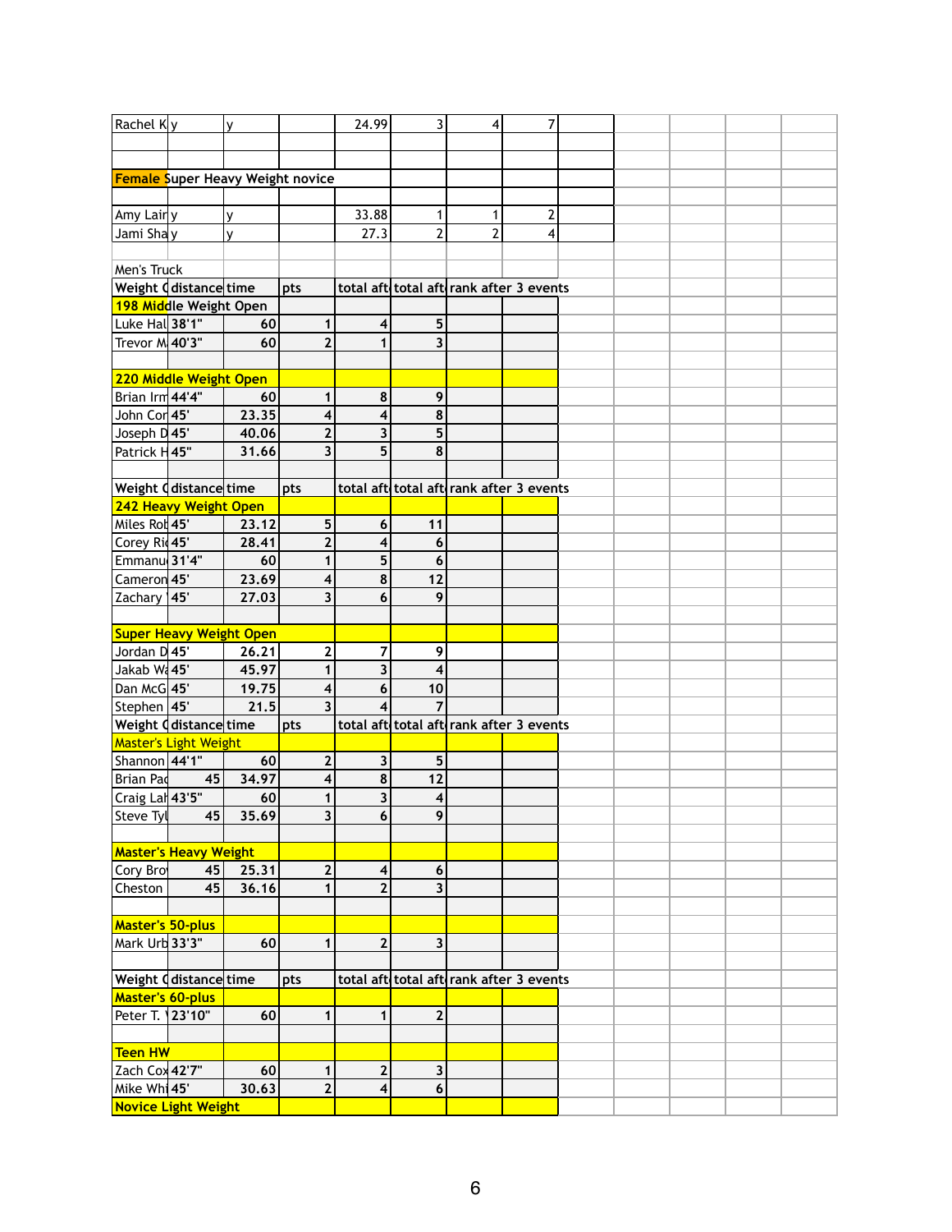| Rachel Ky                |                                         | V     |                         | 24.99                   | $\overline{3}$                          | $\overline{4}$ | 7 |  |  |  |
|--------------------------|-----------------------------------------|-------|-------------------------|-------------------------|-----------------------------------------|----------------|---|--|--|--|
|                          |                                         |       |                         |                         |                                         |                |   |  |  |  |
|                          |                                         |       |                         |                         |                                         |                |   |  |  |  |
|                          |                                         |       |                         |                         |                                         |                |   |  |  |  |
|                          | <b>Female Super Heavy Weight novice</b> |       |                         |                         |                                         |                |   |  |  |  |
|                          |                                         |       |                         |                         |                                         |                |   |  |  |  |
| Amy Lair y               |                                         | v     |                         | 33.88                   |                                         | 1              | 2 |  |  |  |
| Jami Shay                |                                         | v     |                         | 27.3                    | $\overline{2}$                          | $\overline{2}$ | 4 |  |  |  |
|                          |                                         |       |                         |                         |                                         |                |   |  |  |  |
| Men's Truck              |                                         |       |                         |                         |                                         |                |   |  |  |  |
|                          | Weight distancetime                     |       | pts                     |                         | total aft total aft rank after 3 events |                |   |  |  |  |
|                          | 198 Middle Weight Open                  |       |                         |                         |                                         |                |   |  |  |  |
| Luke Hal 38'1"           |                                         | 60    | $\mathbf 1$             | $\vert 4 \vert$         | 5                                       |                |   |  |  |  |
| Trevor M 40'3"           |                                         | 60    | $\overline{2}$          | $\mathbf{1}$            | 3                                       |                |   |  |  |  |
|                          |                                         |       |                         |                         |                                         |                |   |  |  |  |
|                          | 220 Middle Weight Open                  |       |                         |                         |                                         |                |   |  |  |  |
| Brian Irm 44'4"          |                                         | 60    | $\mathbf 1$             | 8                       | 9                                       |                |   |  |  |  |
| John Cor 45'             |                                         | 23.35 | 4                       | $\overline{\mathbf{4}}$ | 8                                       |                |   |  |  |  |
| Joseph D45'              |                                         | 40.06 | $\overline{\mathbf{2}}$ | 3                       | 5                                       |                |   |  |  |  |
| Patrick H45"             |                                         | 31.66 | $\overline{\mathbf{3}}$ | 5                       | 8                                       |                |   |  |  |  |
|                          |                                         |       |                         |                         |                                         |                |   |  |  |  |
|                          |                                         |       |                         |                         |                                         |                |   |  |  |  |
|                          | Weight ddistancetime                    |       | pts                     |                         | total aft total aft rank after 3 events |                |   |  |  |  |
|                          | 242 Heavy Weight Open                   |       |                         |                         |                                         |                |   |  |  |  |
| Miles Rot 45'            |                                         | 23.12 | $5\phantom{.0}$         | $6\phantom{1}$          | 11                                      |                |   |  |  |  |
| Corey Ri 45'             |                                         | 28.41 | $\mathbf{2}$            | 4                       | 6                                       |                |   |  |  |  |
| Emmanu 31'4"             |                                         | 60    | $\mathbf 1$             | 5                       | $6\phantom{1}6$                         |                |   |  |  |  |
| Cameron 45'              |                                         | 23.69 | $\overline{\mathbf{4}}$ | 8                       | 12                                      |                |   |  |  |  |
| Zachary 145'             |                                         | 27.03 | $\overline{\mathbf{3}}$ | 6                       | 9                                       |                |   |  |  |  |
|                          |                                         |       |                         |                         |                                         |                |   |  |  |  |
|                          | <b>Super Heavy Weight Open</b>          |       |                         |                         |                                         |                |   |  |  |  |
| Jordan D 45'             |                                         | 26.21 | $\mathbf{2}$            | $\overline{7}$          | 9                                       |                |   |  |  |  |
| Jakab W. 45'             |                                         | 45.97 | 1                       | $\overline{\mathbf{3}}$ | $\overline{\mathbf{4}}$                 |                |   |  |  |  |
| Dan McG 45'              |                                         | 19.75 | $\overline{\mathbf{4}}$ | 6                       | 10                                      |                |   |  |  |  |
|                          |                                         | 21.5  | $\overline{\mathbf{3}}$ |                         | $\overline{7}$                          |                |   |  |  |  |
| Stephen 45'              |                                         |       |                         | 4                       |                                         |                |   |  |  |  |
|                          | Weight <code>d</code> distance time     |       | pts                     |                         | total aft total aft rank after 3 events |                |   |  |  |  |
|                          | Master's Light Weight                   |       |                         |                         |                                         |                |   |  |  |  |
| Shannon 44'1"            |                                         | 60    | $\mathbf{2}$            | 3 <sup>1</sup>          | 5                                       |                |   |  |  |  |
| <b>Brian Pad</b>         | 45                                      | 34.97 | $\overline{\mathbf{4}}$ | $\overline{\mathbf{8}}$ | 12                                      |                |   |  |  |  |
| Craig Lal 43'5"          |                                         | 60    | $\mathbf 1$             | $\overline{\mathbf{3}}$ | $\overline{\mathbf{4}}$                 |                |   |  |  |  |
| Steve Tyl                | 45                                      | 35.69 | $\overline{\mathbf{3}}$ | $6\overline{6}$         | 9                                       |                |   |  |  |  |
|                          |                                         |       |                         |                         |                                         |                |   |  |  |  |
|                          | <b>Master's Heavy Weight</b>            |       |                         |                         |                                         |                |   |  |  |  |
| Cory Bro                 | 45                                      | 25.31 | $\mathbf{2}$            | $\vert 4 \vert$         | $6\phantom{1}6$                         |                |   |  |  |  |
| <b>Cheston</b>           | 45                                      | 36.16 | $\mathbf{1}$            | $\overline{2}$          | 3                                       |                |   |  |  |  |
|                          |                                         |       |                         |                         |                                         |                |   |  |  |  |
| <b>Master's 50-plus</b>  |                                         |       |                         |                         |                                         |                |   |  |  |  |
| Mark Urb 33'3"           |                                         | 60    | $\mathbf 1$             | $\mathbf{2}$            | 3                                       |                |   |  |  |  |
|                          |                                         |       |                         |                         |                                         |                |   |  |  |  |
|                          |                                         |       |                         |                         |                                         |                |   |  |  |  |
|                          | Weight ddistance time                   |       | pts                     |                         | total aft total aft rank after 3 events |                |   |  |  |  |
| Master's 60-plus         |                                         |       |                         |                         |                                         |                |   |  |  |  |
| Peter T. 23'10"          |                                         | 60    | $\mathbf{1}$            | $\mathbf 1$             | $\mathbf{2}$                            |                |   |  |  |  |
|                          |                                         |       |                         |                         |                                         |                |   |  |  |  |
| Teen HW                  |                                         |       |                         |                         |                                         |                |   |  |  |  |
| Zach Cox 42'7"           |                                         | 60    | $\mathbf 1$             | $\mathbf{2}$            | 3                                       |                |   |  |  |  |
| Mike Wh <sup>1</sup> 45' |                                         | 30.63 | $\mathbf{2}$            | $\vert 4 \vert$         | 6                                       |                |   |  |  |  |
|                          | Novice Light Weight                     |       |                         |                         |                                         |                |   |  |  |  |
|                          |                                         |       |                         |                         |                                         |                |   |  |  |  |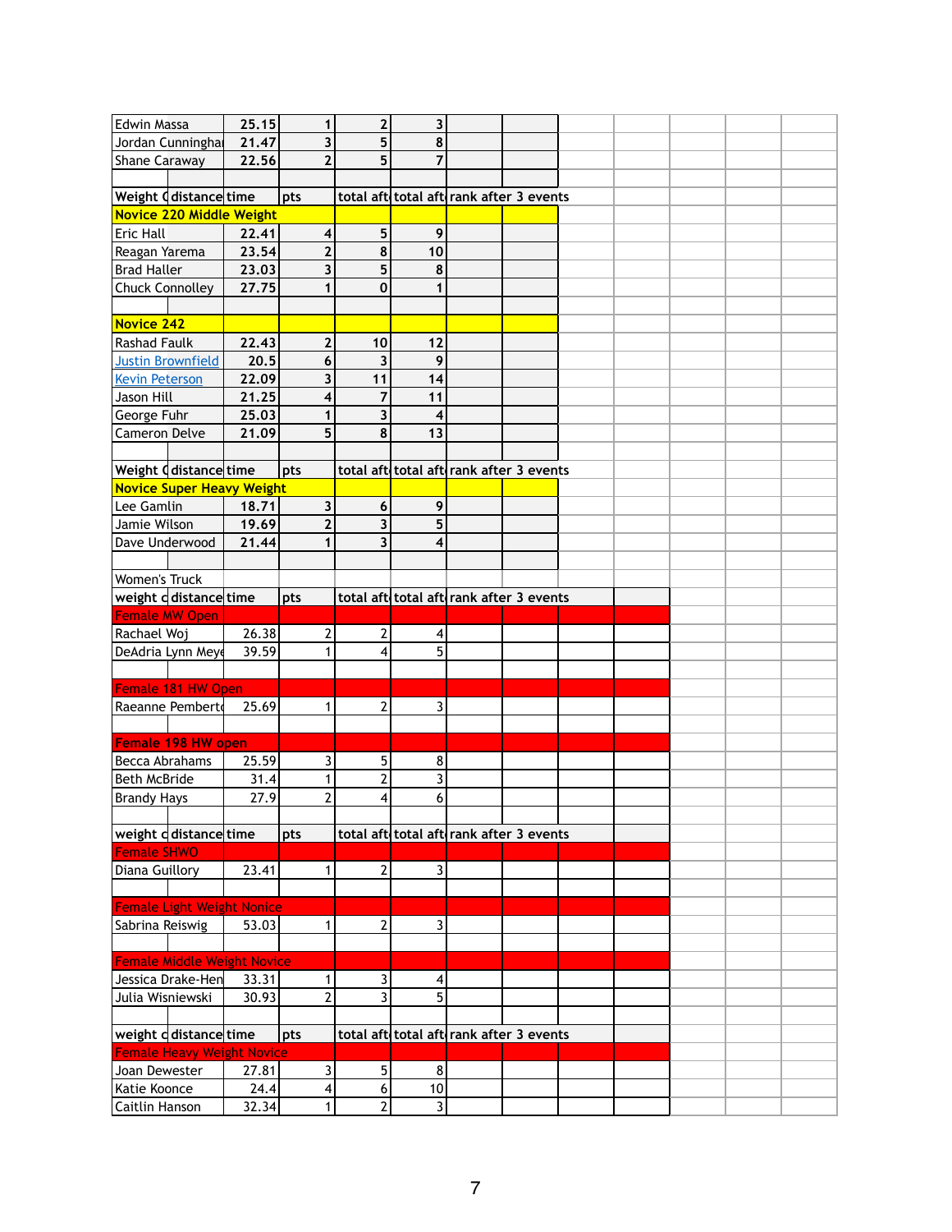| <b>Edwin Massa</b>                    |                                    | 25.15         | 1                                        | $\mathbf{2}$            | 3              |                                         |  |  |  |
|---------------------------------------|------------------------------------|---------------|------------------------------------------|-------------------------|----------------|-----------------------------------------|--|--|--|
|                                       |                                    |               |                                          |                         |                |                                         |  |  |  |
|                                       | Jordan Cunningha                   | 21.47         | 3                                        | 5                       | 8              |                                         |  |  |  |
| <b>Shane Caraway</b>                  |                                    | 22.56         | $\overline{2}$                           | 5                       | $\overline{7}$ |                                         |  |  |  |
|                                       |                                    |               |                                          |                         |                |                                         |  |  |  |
| Weight <code>d</code> distance time   |                                    |               | pts                                      |                         |                | total aft total aft rank after 3 events |  |  |  |
| <b>Novice 220 Middle Weight</b>       |                                    |               |                                          |                         |                |                                         |  |  |  |
| <b>Eric Hall</b>                      |                                    | 22.41         | $\overline{\mathbf{4}}$                  | 5 <sup>1</sup>          | 9              |                                         |  |  |  |
| Reagan Yarema                         |                                    | 23.54         | $\mathbf{2}$                             | 8                       | 10             |                                         |  |  |  |
| <b>Brad Haller</b>                    |                                    | 23.03         | 3                                        | 5                       | 8              |                                         |  |  |  |
| <b>Chuck Connolley</b>                |                                    | 27.75         | 1                                        | $\mathbf 0$             | 1              |                                         |  |  |  |
|                                       |                                    |               |                                          |                         |                |                                         |  |  |  |
| Novice 242                            |                                    |               |                                          |                         |                |                                         |  |  |  |
| <b>Rashad Faulk</b>                   |                                    | 22.43         | $\mathbf{2}$                             | 10                      | $12$           |                                         |  |  |  |
| <b>Justin Brownfield</b>              |                                    | 20.5          | $6\phantom{1}6$                          | 3                       | 9              |                                         |  |  |  |
| <b>Kevin Peterson</b>                 |                                    | 22.09         | 3                                        | 11                      | 14             |                                         |  |  |  |
| Jason Hill                            |                                    | 21.25         | 4                                        | 7                       | 11             |                                         |  |  |  |
|                                       |                                    |               |                                          |                         |                |                                         |  |  |  |
| George Fuhr                           |                                    | 25.03         | 1                                        | 3                       | 4              |                                         |  |  |  |
| <b>Cameron Delve</b>                  |                                    | 21.09         | 5                                        | 8                       | 13             |                                         |  |  |  |
|                                       |                                    |               |                                          |                         |                |                                         |  |  |  |
| Weight <code>d</code> distance time   |                                    |               | pts                                      |                         |                | total aft total aft rank after 3 events |  |  |  |
| <b>Novice Super Heavy Weight</b>      |                                    |               |                                          |                         |                |                                         |  |  |  |
| Lee Gamlin                            |                                    | 18.71         | $\mathbf{3}$                             | $6 \mid$                | 9              |                                         |  |  |  |
| Jamie Wilson                          |                                    | 19.69         | $\overline{2}$                           | $\overline{\mathbf{3}}$ | 5              |                                         |  |  |  |
| Dave Underwood                        |                                    | 21.44         | $\mathbf{1}$                             | 3 <sup>1</sup>          | 4              |                                         |  |  |  |
|                                       |                                    |               |                                          |                         |                |                                         |  |  |  |
| <b>Women's Truck</b>                  |                                    |               |                                          |                         |                |                                         |  |  |  |
| weight ddistance time                 |                                    |               | pts                                      |                         |                | total aft total aft rank after 3 events |  |  |  |
| <b>Female MW Open</b>                 |                                    |               |                                          |                         |                |                                         |  |  |  |
| Rachael Woj                           |                                    | 26.38         | 2                                        | 2                       | 4              |                                         |  |  |  |
| DeAdria Lynn Meye                     |                                    | 39.59         | $\mathbf 1$                              | 4                       | 5              |                                         |  |  |  |
|                                       |                                    |               |                                          |                         |                |                                         |  |  |  |
| Female 181 HW Open                    |                                    |               |                                          |                         |                |                                         |  |  |  |
| Raeanne Pembert                       |                                    | 25.69         | 1                                        | $\mathbf{2}$            | 3              |                                         |  |  |  |
|                                       |                                    |               |                                          |                         |                |                                         |  |  |  |
|                                       |                                    |               |                                          |                         |                |                                         |  |  |  |
|                                       |                                    |               |                                          |                         |                |                                         |  |  |  |
|                                       | Female 198 HW open                 |               |                                          |                         |                |                                         |  |  |  |
| Becca Abrahams                        |                                    | 25.59         | 3                                        | 5 <sup>1</sup>          | 8              |                                         |  |  |  |
| Beth McBride                          |                                    | 31.4          | 1                                        | $\overline{2}$          | 3              |                                         |  |  |  |
| Brandy Hays                           |                                    | 27.9          | 2                                        | 4                       | 6              |                                         |  |  |  |
|                                       |                                    |               |                                          |                         |                |                                         |  |  |  |
| weight ddistance time                 |                                    |               | pts                                      |                         |                | total aft total aft rank after 3 events |  |  |  |
| <b>Female SHWO</b>                    |                                    |               |                                          |                         |                |                                         |  |  |  |
| Diana Guillory                        |                                    | 23.41         | 1                                        | $\overline{2}$          | 3              |                                         |  |  |  |
|                                       |                                    |               |                                          |                         |                |                                         |  |  |  |
| <b>Female Light Weight Nonice</b>     |                                    |               |                                          |                         |                |                                         |  |  |  |
| Sabrina Reiswig                       |                                    | 53.03         | 1                                        | 2                       | 3              |                                         |  |  |  |
|                                       |                                    |               |                                          |                         |                |                                         |  |  |  |
|                                       | <b>Female Middle Weight Novice</b> |               |                                          |                         |                |                                         |  |  |  |
|                                       | Jessica Drake-Hen                  | 33.31         | 1                                        | $\vert$                 | 4              |                                         |  |  |  |
| Julia Wisniewski                      |                                    | 30.93         | $\overline{2}$                           | $\overline{3}$          | 5              |                                         |  |  |  |
|                                       |                                    |               |                                          |                         |                |                                         |  |  |  |
|                                       |                                    |               |                                          |                         |                |                                         |  |  |  |
| weight ddistance time                 |                                    |               | pts                                      |                         |                | total aft total aft rank after 3 events |  |  |  |
| <b>Female Heavy Weight Novice</b>     |                                    |               |                                          |                         |                |                                         |  |  |  |
| Joan Dewester                         |                                    | 27.81         | 3                                        | 5 <sup>1</sup>          | $\bf 8$        |                                         |  |  |  |
| Katie Koonce<br><b>Caitlin Hanson</b> |                                    | 24.4<br>32.34 | $\overline{\mathcal{A}}$<br>$\mathbf{1}$ | 6<br>$\mathbf{2}$       | 10<br>3        |                                         |  |  |  |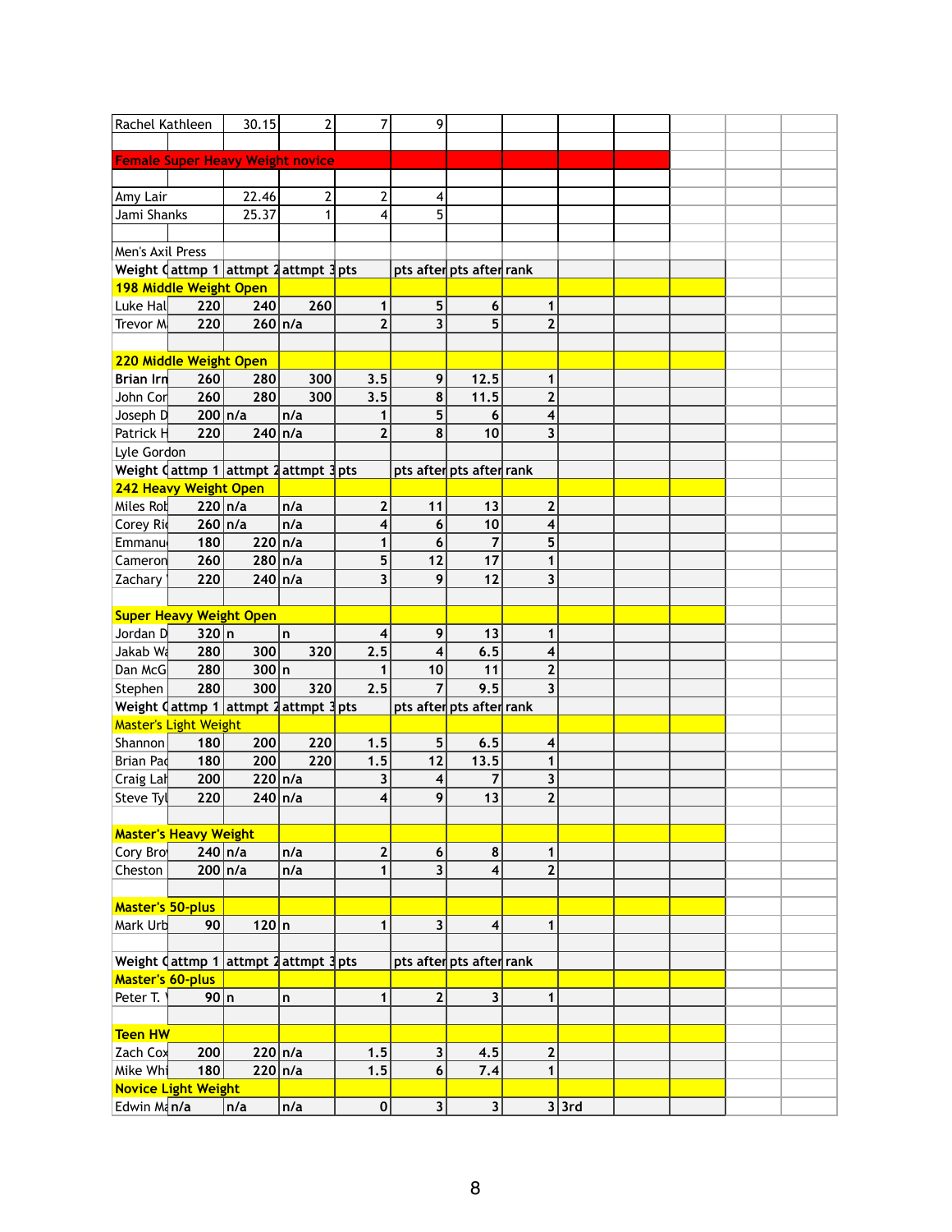| Rachel Kathleen         |                                | 30.15                                                                  | $\overline{2}$ | 7                       | 9                       |                          |                         |       |  |  |
|-------------------------|--------------------------------|------------------------------------------------------------------------|----------------|-------------------------|-------------------------|--------------------------|-------------------------|-------|--|--|
|                         |                                |                                                                        |                |                         |                         |                          |                         |       |  |  |
|                         |                                | <b>Female Super Heavy Weight novice</b>                                |                |                         |                         |                          |                         |       |  |  |
|                         |                                |                                                                        |                |                         |                         |                          |                         |       |  |  |
| Amy Lair                |                                | 22.46                                                                  | $\overline{2}$ | $\overline{\mathbf{c}}$ | 4                       |                          |                         |       |  |  |
| Jami Shanks             |                                | 25.37                                                                  | 1              | 4                       | 5                       |                          |                         |       |  |  |
|                         |                                |                                                                        |                |                         |                         |                          |                         |       |  |  |
| Men's Axil Press        |                                |                                                                        |                |                         |                         |                          |                         |       |  |  |
|                         |                                | Weight $\sqrt{\text{attmp} 1}$ attmpt $\sqrt{2}$ attmpt $\sqrt{3}$ pts |                |                         |                         | pts after pts after rank |                         |       |  |  |
|                         | 198 Middle Weight Open         |                                                                        |                |                         |                         |                          |                         |       |  |  |
| Luke Hall               | 220                            | 240                                                                    | 260            | 1                       | $5\phantom{.}$          | 6                        | 1                       |       |  |  |
| Trevor M                | 220                            | $260 \ln/a$                                                            |                | $\overline{2}$          | 3                       | 5                        | $\overline{2}$          |       |  |  |
|                         |                                |                                                                        |                |                         |                         |                          |                         |       |  |  |
|                         | 220 Middle Weight Open         |                                                                        |                |                         |                         |                          |                         |       |  |  |
| <b>Brian Irn</b>        | 260                            | 280                                                                    | 300            | 3.5                     | 9                       | 12.5                     | 1                       |       |  |  |
| John Cor                | 260                            | 280                                                                    | 300            | 3.5                     | 8                       | 11.5                     | $\overline{2}$          |       |  |  |
| Joseph D                | $200 \ln/a$                    |                                                                        | n/a            |                         | 5                       | 6                        | 4                       |       |  |  |
| Patrick H               | 220                            | $240 \ln/a$                                                            |                | $\overline{2}$          | 8                       | 10                       | 3                       |       |  |  |
|                         |                                |                                                                        |                |                         |                         |                          |                         |       |  |  |
| Lyle Gordon             |                                |                                                                        |                |                         |                         |                          |                         |       |  |  |
|                         |                                | Weight $\frac{1}{1}$ attmp 1 attmpt 2 attmpt 3 pts                     |                |                         |                         | pts after pts after rank |                         |       |  |  |
|                         | 242 Heavy Weight Open          |                                                                        |                |                         |                         |                          |                         |       |  |  |
| Miles Rot               | $220$ n/a                      |                                                                        | n/a            | $\mathbf{2}$            | 11                      | 13                       | $\mathbf{2}$            |       |  |  |
| Corey Rid               | $260 \ln/a$                    |                                                                        | n/a            | $\overline{\mathbf{4}}$ | 6                       | 10                       | 4                       |       |  |  |
| Emmanu                  | 180                            | 220 n/a                                                                |                | 1                       | 6                       |                          | 5                       |       |  |  |
| Cameron                 | 260                            | $280 \ln/a$                                                            |                | 5                       | 12                      | 17                       | 1                       |       |  |  |
| Zachary                 | 220                            | $240 \ln/a$                                                            |                | 3                       | 9                       | 12                       | 3                       |       |  |  |
|                         |                                |                                                                        |                |                         |                         |                          |                         |       |  |  |
|                         | <b>Super Heavy Weight Open</b> |                                                                        |                |                         |                         |                          |                         |       |  |  |
| Jordan D                | 320n                           |                                                                        | n              | $\overline{\mathbf{4}}$ | 9                       | 13                       | 1                       |       |  |  |
| Jakab Wa                | 280                            | 300                                                                    | 320            | 2.5                     | 4                       | 6.5                      | $\overline{\mathbf{4}}$ |       |  |  |
| Dan McG                 | 280                            | 300 n                                                                  |                | 1                       | 10                      | 11                       | $\overline{2}$          |       |  |  |
| Stephen                 | 280                            | 300                                                                    | 320            | 2.5                     |                         | 9.5                      | 3                       |       |  |  |
|                         |                                | Weight $\frac{1}{1}$ attmp 1 attmpt 2 attmpt 3 pts                     |                |                         |                         | pts after pts after rank |                         |       |  |  |
|                         | Master's Light Weight          |                                                                        |                |                         |                         |                          |                         |       |  |  |
| Shannon                 | 180                            | 200                                                                    | 220            | 1.5                     | 5                       | 6.5                      | 4                       |       |  |  |
| Brian Pad               | 180                            | 200                                                                    | 220            | 1.5                     | 12                      | 13.5                     | $\mathbf 1$             |       |  |  |
|                         |                                |                                                                        |                |                         |                         |                          |                         |       |  |  |
| Craig Lal               | 200                            | 220 n/a                                                                |                | 3                       | 4                       | $\overline{7}$           | $\overline{\mathbf{3}}$ |       |  |  |
| Steve Ty                | 220                            | $240 \ln/a$                                                            |                | 4                       | 9                       | 13                       | $\overline{2}$          |       |  |  |
|                         |                                |                                                                        |                |                         |                         |                          |                         |       |  |  |
|                         | <b>Master's Heavy Weight</b>   |                                                                        |                |                         |                         |                          |                         |       |  |  |
| Cory Bro                | $240 \vert n/a$                |                                                                        | n/a            | $\mathbf{2}$            | $6\phantom{1}$          | 8                        | 1                       |       |  |  |
| Cheston                 | $200 \vert n/a$                |                                                                        | n/a            | 1                       | 3                       | 4                        | $\overline{2}$          |       |  |  |
|                         |                                |                                                                        |                |                         |                         |                          |                         |       |  |  |
| <b>Master's 50-plus</b> |                                |                                                                        |                |                         |                         |                          |                         |       |  |  |
| Mark Urb                | 90                             | 120 n                                                                  |                | 1                       | $\overline{\mathbf{3}}$ | $\overline{\mathbf{4}}$  | $\mathbf{1}$            |       |  |  |
|                         |                                |                                                                        |                |                         |                         |                          |                         |       |  |  |
|                         |                                | Weight $\int$ attmp 1 attmpt 2 attmpt 3 pts                            |                |                         |                         | pts after pts after rank |                         |       |  |  |
| <b>Master's 60-plus</b> |                                |                                                                        |                |                         |                         |                          |                         |       |  |  |
| Peter T.                | 90 n                           |                                                                        | n              | $\mathbf{1}$            | $\overline{2}$          | $\overline{\mathbf{3}}$  | $\mathbf{1}$            |       |  |  |
|                         |                                |                                                                        |                |                         |                         |                          |                         |       |  |  |
| <b>Teen HW</b>          |                                |                                                                        |                |                         |                         |                          |                         |       |  |  |
| Zach Cox                | 200                            | 220 n/a                                                                |                | 1.5                     | $\mathbf{3}$            | 4.5                      | $\mathbf{2}$            |       |  |  |
| Mike Whi                | 180                            | 220 n/a                                                                |                | 1.5                     | 6                       | 7.4                      | $\overline{\mathbf{1}}$ |       |  |  |
|                         | <b>Novice Light Weight</b>     |                                                                        |                |                         |                         |                          |                         |       |  |  |
|                         |                                |                                                                        |                | 0                       | $\mathbf{3}$            | $\overline{\mathbf{3}}$  |                         |       |  |  |
| Edwin Man/a             |                                | n/a                                                                    | n/a            |                         |                         |                          |                         | 3 3rd |  |  |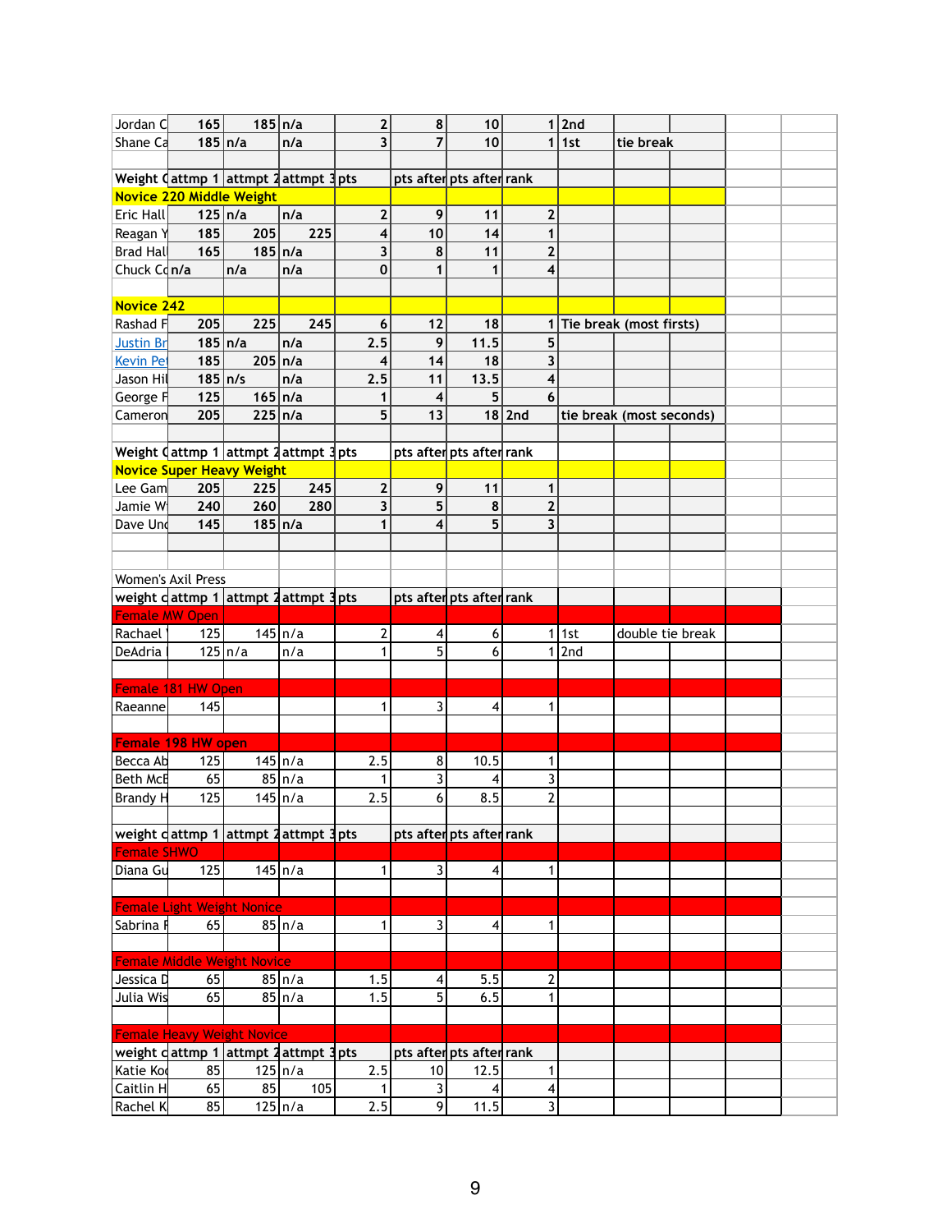| Jordan C                             | 165                | $185 \ln/a$                                                                     |                    | $\mathbf{2}$            | 8              | 10                       | $\mathbf{1}$      | 2nd |                          |  |  |
|--------------------------------------|--------------------|---------------------------------------------------------------------------------|--------------------|-------------------------|----------------|--------------------------|-------------------|-----|--------------------------|--|--|
| Shane Ca                             | $185 \ln/a$        |                                                                                 | n/a                | $\overline{\mathbf{3}}$ | $\overline{7}$ | 10                       | 1                 | 1st | tie break                |  |  |
|                                      |                    |                                                                                 |                    |                         |                |                          |                   |     |                          |  |  |
|                                      |                    | Weight $\sqrt{$ attmp 1 attmpt 2 attmpt 3 pts                                   |                    |                         |                | pts after pts after rank |                   |     |                          |  |  |
|                                      |                    | Novice 220 Middle Weight                                                        |                    |                         |                |                          |                   |     |                          |  |  |
| Eric Hall                            | $125 \vert n/a$    |                                                                                 | n/a                | $\mathbf{2}$            | 9              | 11                       | $\mathbf{2}$      |     |                          |  |  |
| Reagan Y                             | 185                | 205                                                                             | 225                | 4                       | 10             | 14                       | 1                 |     |                          |  |  |
| <b>Brad Hall</b>                     | 165                | $185 \ln/a$                                                                     |                    | $\overline{\mathbf{3}}$ | 8              | 11                       | $\overline{2}$    |     |                          |  |  |
| Chuck $Cd n/a$                       |                    | n/a                                                                             | n/a                | $\mathbf 0$             |                | 1                        | 4                 |     |                          |  |  |
|                                      |                    |                                                                                 |                    |                         |                |                          |                   |     |                          |  |  |
| Novice 242                           |                    |                                                                                 |                    |                         |                |                          |                   |     |                          |  |  |
| Rashad F                             | 205                | 225<br>$185 \ln/a$                                                              | 245<br>n/a         | $6\phantom{1}$<br>2.5   | 12<br>9        | 18<br>11.5               | 5                 |     | Tie break (most firsts)  |  |  |
| <b>Justin Br</b><br><b>Kevin Pet</b> | 185                | $205 \ln/a$                                                                     |                    | 4                       | 14             | 18                       | 3                 |     |                          |  |  |
| Jason Hil                            | $185 \vert n/s$    |                                                                                 | n/a                | 2.5                     | 11             | 13.5                     | 4                 |     |                          |  |  |
| George F                             | 125                | $165 \ln/a$                                                                     |                    | 1                       | 4              | 5                        | 6                 |     |                          |  |  |
| Cameron                              | 205                | $225 \nln/a$                                                                    |                    | 5                       | 13             |                          | $18$  2nd         |     | tie break (most seconds) |  |  |
|                                      |                    |                                                                                 |                    |                         |                |                          |                   |     |                          |  |  |
|                                      |                    | Weight $\int$ attmp 1 attmpt 2 attmpt 3 pts                                     |                    |                         |                | pts after pts after rank |                   |     |                          |  |  |
|                                      |                    | <b>Novice Super Heavy Weight</b>                                                |                    |                         |                |                          |                   |     |                          |  |  |
| Lee Gam                              | 205                | 225                                                                             | 245                | $\mathbf{2}$            | 9              | 11                       | 1                 |     |                          |  |  |
| Jamie W                              | 240                | 260                                                                             | 280                | $\overline{\mathbf{3}}$ | 5              | 8                        | $\overline{2}$    |     |                          |  |  |
| Dave Und                             | 145                | $185 \vert n/a$                                                                 |                    | 1                       | 4              | 5                        | 3                 |     |                          |  |  |
|                                      |                    |                                                                                 |                    |                         |                |                          |                   |     |                          |  |  |
|                                      |                    |                                                                                 |                    |                         |                |                          |                   |     |                          |  |  |
|                                      | Women's Axil Press |                                                                                 |                    |                         |                |                          |                   |     |                          |  |  |
|                                      |                    | weight dattmp 1 attmpt 2 attmpt 3 pts                                           |                    |                         |                | pts after pts after rank |                   |     |                          |  |  |
| <b>Female MW Open</b>                |                    |                                                                                 |                    |                         |                |                          |                   |     |                          |  |  |
| Rachael                              | 125                |                                                                                 | $145 \ln/a$        | 2                       | 4              | 6                        | 1                 | 1st | double tie break         |  |  |
| DeAdria                              |                    | $125 \ln/a$                                                                     | n/a                | 1                       | 5              | 6                        | 1                 | 2nd |                          |  |  |
|                                      |                    |                                                                                 |                    |                         |                |                          |                   |     |                          |  |  |
|                                      | Female 181 HW Open |                                                                                 |                    |                         |                |                          |                   |     |                          |  |  |
| Raeanne                              | 145                |                                                                                 |                    | 1                       | 3              | 4                        | 1                 |     |                          |  |  |
| Female 198 HW open                   |                    |                                                                                 |                    |                         |                |                          |                   |     |                          |  |  |
| Becca Ab                             | 125                |                                                                                 | $145 \ln/a$        | 2.5                     | 8              | 10.5                     | 1                 |     |                          |  |  |
| Beth McE                             | 65                 |                                                                                 | $85 \ln/a$         | 1                       | 3              | 4                        | 3                 |     |                          |  |  |
| Brandy H                             | 125                |                                                                                 | $145 \ln/a$        | 2.5                     | 6              | 8.5                      | $\overline{2}$    |     |                          |  |  |
|                                      |                    |                                                                                 |                    |                         |                |                          |                   |     |                          |  |  |
|                                      |                    | weight <code>clattmp 1</code>  attmpt <code>2</code>  attmpt 3 <code>pts</code> |                    |                         |                | pts after pts after rank |                   |     |                          |  |  |
| <b>Female SHWO</b>                   |                    |                                                                                 |                    |                         |                |                          |                   |     |                          |  |  |
| Diana Gu                             | 125                |                                                                                 | $145 \ln/a$        | 1                       | 3              | $\overline{\mathbf{4}}$  | $\mathbf{1}$      |     |                          |  |  |
|                                      |                    |                                                                                 |                    |                         |                |                          |                   |     |                          |  |  |
|                                      |                    | <b>Female Light Weight Nonice</b>                                               |                    |                         |                |                          |                   |     |                          |  |  |
| Sabrina <b>I</b>                     | 65                 |                                                                                 | 85 n/a             | $\mathbf{1}$            | $\overline{3}$ | 4                        | 1                 |     |                          |  |  |
|                                      |                    |                                                                                 |                    |                         |                |                          |                   |     |                          |  |  |
|                                      |                    | <b>Female Middle Weight Novice</b>                                              |                    |                         |                |                          |                   |     |                          |  |  |
| Jessica D                            | 65                 |                                                                                 | $85 \ln/a$         | 1.5                     | 4              | 5.5                      | 2                 |     |                          |  |  |
| Julia Wis                            | 65                 |                                                                                 | 85 n/a             | 1.5                     | 5              | 6.5                      | 1                 |     |                          |  |  |
|                                      |                    |                                                                                 |                    |                         |                |                          |                   |     |                          |  |  |
|                                      |                    | <b>Female Heavy Weight Novice</b>                                               |                    |                         |                |                          |                   |     |                          |  |  |
|                                      |                    | weight c attmp 1 attmpt 2 attmpt 3 pts                                          |                    |                         |                | pts after pts after rank |                   |     |                          |  |  |
| Katie Ko                             | 85<br>65           | 85                                                                              | $125 \ln/a$<br>105 | 2.5<br>1                | 10<br>3        | 12.5                     | $\mathbf{1}$<br>4 |     |                          |  |  |
| Caitlin H                            |                    |                                                                                 |                    |                         |                |                          |                   |     |                          |  |  |
| $ $ Rachel K $ $                     | 85                 |                                                                                 | $125 \ln/a$        | 2.5                     | $\mathbf{9}$   | 4<br>11.5                | $\overline{3}$    |     |                          |  |  |